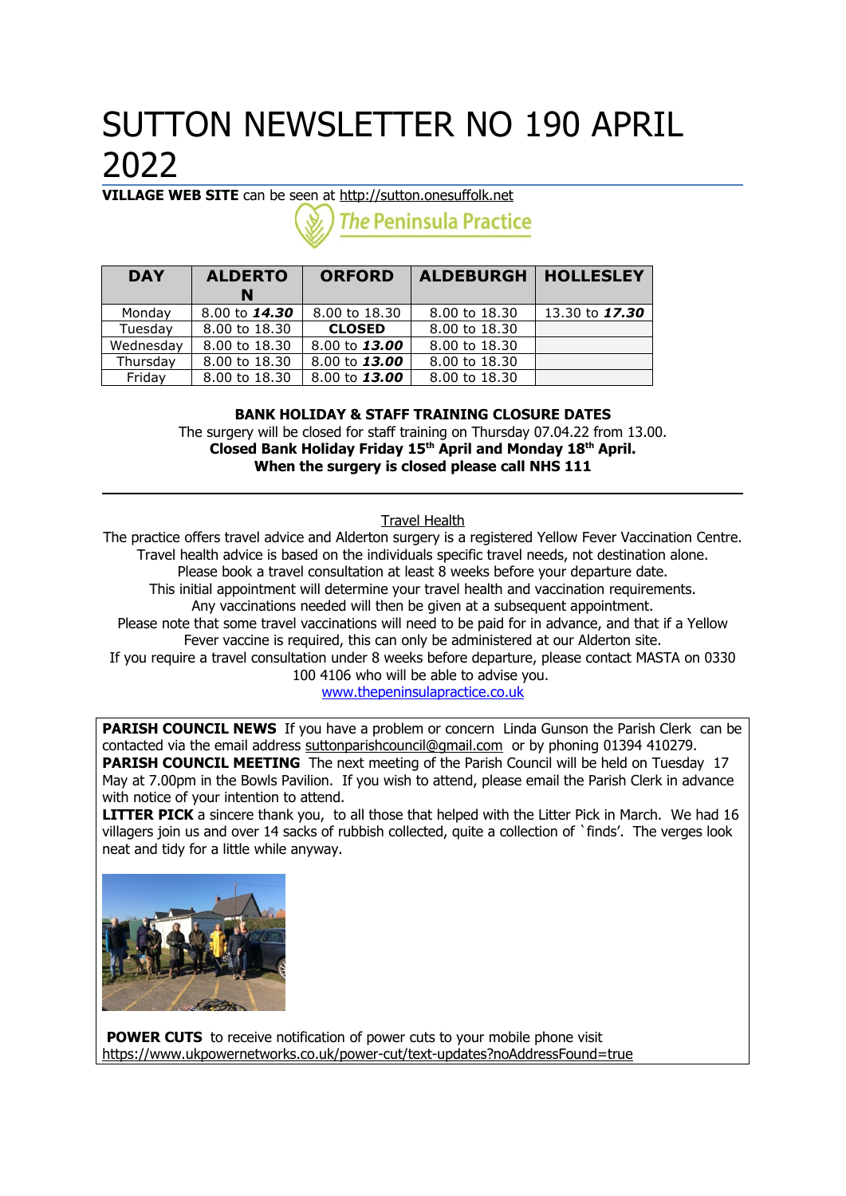# SUTTON NEWSLETTER NO 190 APRIL 2022

**VILLAGE WEB SITE** can be seen at [http://sutton.onesuffolk.net](http://sutton.onesuffolk.net/)

**The Peninsula Practice** 

| <b>DAY</b> | <b>ALDERTO</b><br>N | <b>ORFORD</b> | <b>ALDEBURGH</b> | <b>HOLLESLEY</b> |
|------------|---------------------|---------------|------------------|------------------|
| Monday     | 8.00 to 14.30       | 8.00 to 18.30 | 8.00 to 18.30    | 13.30 to 17.30   |
| Tuesday    | 8.00 to 18.30       | <b>CLOSED</b> | 8.00 to 18.30    |                  |
| Wednesday  | 8.00 to 18.30       | 8.00 to 13.00 | 8,00 to 18,30    |                  |
| Thursday   | 8,00 to 18,30       | 8.00 to 13.00 | 8,00 to 18,30    |                  |
| Friday     | 8,00 to 18,30       | 8.00 to 13.00 | 8,00 to 18,30    |                  |

**BANK HOLIDAY & STAFF TRAINING CLOSURE DATES** The surgery will be closed for staff training on Thursday 07.04.22 from 13.00. **Closed Bank Holiday Friday 15th April and Monday 18th April. When the surgery is closed please call NHS 111**

Travel Health

The practice offers travel advice and Alderton surgery is a registered Yellow Fever Vaccination Centre. Travel health advice is based on the individuals specific travel needs, not destination alone. Please book a travel consultation at least 8 weeks before your departure date. This initial appointment will determine your travel health and vaccination requirements. Any vaccinations needed will then be given at a subsequent appointment. Please note that some travel vaccinations will need to be paid for in advance, and that if a Yellow Fever vaccine is required, this can only be administered at our Alderton site. If you require a travel consultation under 8 weeks before departure, please contact MASTA on 0330 100 4106 who will be able to advise you.

[www.thepeninsulapractice.co.uk](http://www.thepeninsulapractice.co.uk/)

**PARISH COUNCIL NEWS** If you have a problem or concern Linda Gunson the Parish Clerk can be contacted via the email address [suttonparishcouncil@gmail.com](mailto:suttonparishcouncil@gmail.com) or by phoning 01394 410279. **PARISH COUNCIL MEETING** The next meeting of the Parish Council will be held on Tuesday 17 May at 7.00pm in the Bowls Pavilion. If you wish to attend, please email the Parish Clerk in advance with notice of your intention to attend.

**LITTER PICK** a sincere thank you, to all those that helped with the Litter Pick in March. We had 16 villagers join us and over 14 sacks of rubbish collected, quite a collection of `finds'. The verges look neat and tidy for a little while anyway.



**POWER CUTS** to receive notification of power cuts to your mobile phone visit <https://www.ukpowernetworks.co.uk/power-cut/text-updates?noAddressFound=true>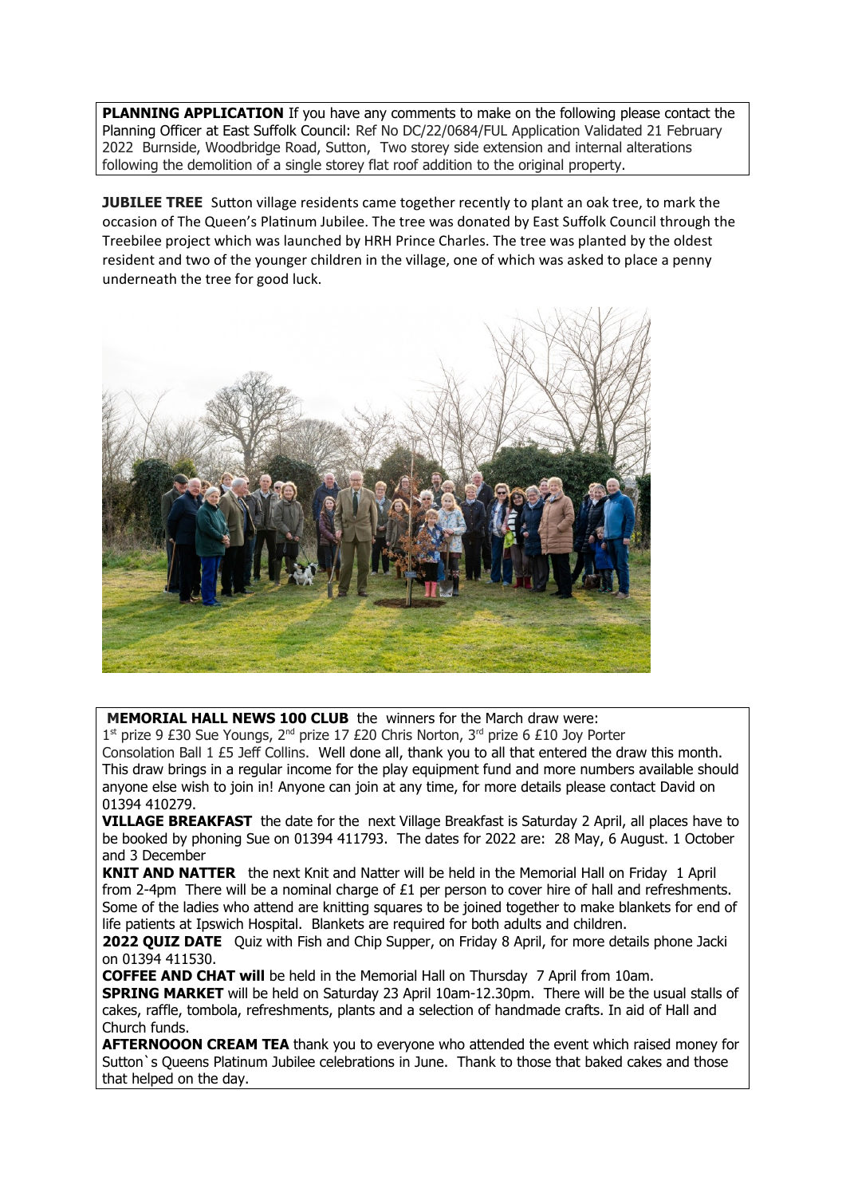**PLANNING APPLICATION** If you have any comments to make on the following please contact the Planning Officer at East Suffolk Council: Ref No DC/22/0684/FUL Application Validated 21 February 2022 Burnside, Woodbridge Road, Sutton, Two storey side extension and internal alterations following the demolition of a single storey flat roof addition to the original property.

**JUBILEE TREE** Sutton village residents came together recently to plant an oak tree, to mark the occasion of The Queen's Platinum Jubilee. The tree was donated by East Suffolk Council through the Treebilee project which was launched by HRH Prince Charles. The tree was planted by the oldest resident and two of the younger children in the village, one of which was asked to place a penny underneath the tree for good luck.



**MEMORIAL HALL NEWS 100 CLUB** the winners for the March draw were:

1<sup>st</sup> prize 9 £30 Sue Youngs, 2<sup>nd</sup> prize 17 £20 Chris Norton, 3<sup>rd</sup> prize 6 £10 Joy Porter Consolation Ball 1 £5 Jeff Collins. Well done all, thank you to all that entered the draw this month. This draw brings in a regular income for the play equipment fund and more numbers available should anyone else wish to join in! Anyone can join at any time, for more details please contact David on 01394 410279.

**VILLAGE BREAKFAST** the date for the next Village Breakfast is Saturday 2 April, all places have to be booked by phoning Sue on 01394 411793. The dates for 2022 are: 28 May, 6 August. 1 October and 3 December

**KNIT AND NATTER** the next Knit and Natter will be held in the Memorial Hall on Friday 1 April from 2-4pm There will be a nominal charge of  $£1$  per person to cover hire of hall and refreshments. Some of the ladies who attend are knitting squares to be joined together to make blankets for end of life patients at Ipswich Hospital. Blankets are required for both adults and children.

**2022 QUIZ DATE** Ouiz with Fish and Chip Supper, on Friday 8 April, for more details phone Jacki on 01394 411530.

**COFFEE AND CHAT will** be held in the Memorial Hall on Thursday 7 April from 10am.

**SPRING MARKET** will be held on Saturday 23 April 10am-12.30pm. There will be the usual stalls of cakes, raffle, tombola, refreshments, plants and a selection of handmade crafts. In aid of Hall and Church funds.

**AFTERNOOON CREAM TEA** thank you to everyone who attended the event which raised money for Sutton`s Queens Platinum Jubilee celebrations in June. Thank to those that baked cakes and those that helped on the day.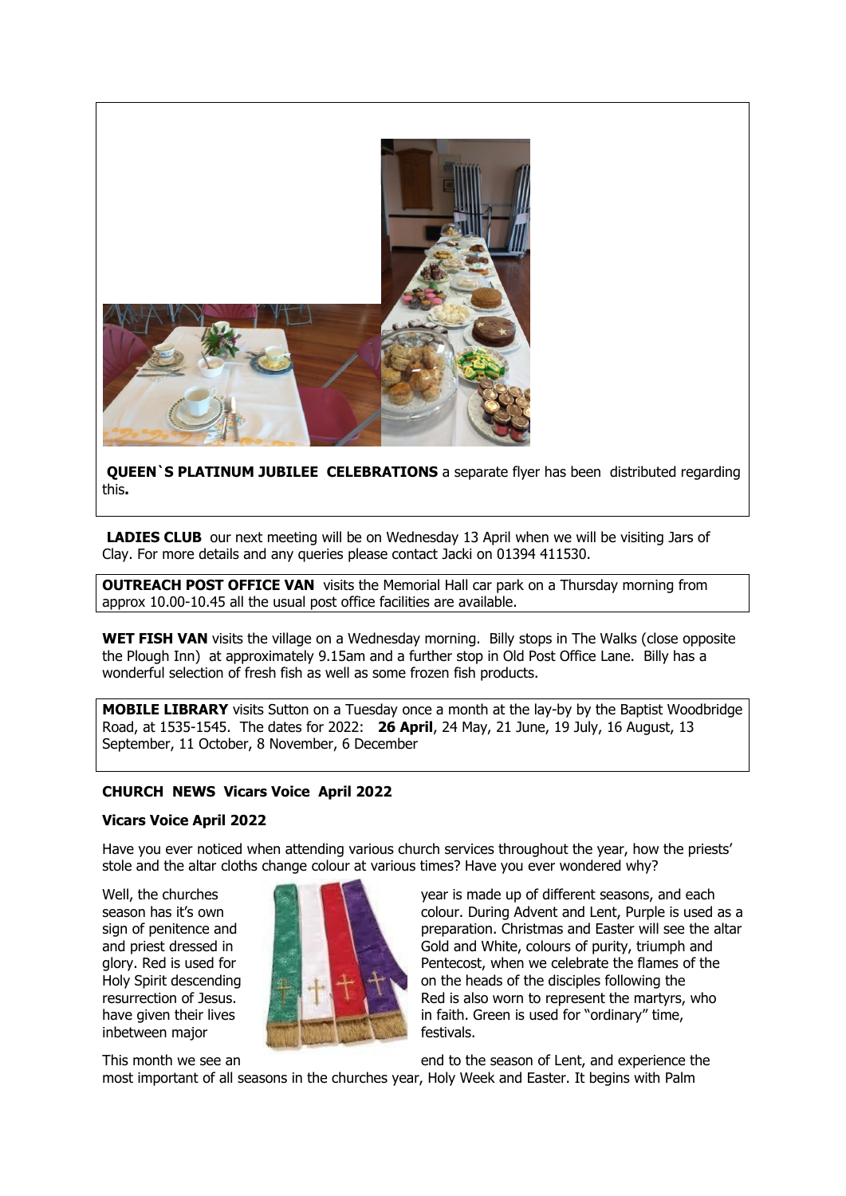

**QUEEN`S PLATINUM JUBILEE CELEBRATIONS** a separate flyer has been distributed regarding this**.**

**LADIES CLUB** our next meeting will be on Wednesday 13 April when we will be visiting Jars of Clay. For more details and any queries please contact Jacki on 01394 411530.

**OUTREACH POST OFFICE VAN** visits the Memorial Hall car park on a Thursday morning from approx 10.00-10.45 all the usual post office facilities are available.

**WET FISH VAN** visits the village on a Wednesday morning. Billy stops in The Walks (close opposite the Plough Inn) at approximately 9.15am and a further stop in Old Post Office Lane. Billy has a wonderful selection of fresh fish as well as some frozen fish products.

**MOBILE LIBRARY** visits Sutton on a Tuesday once a month at the lay-by by the Baptist Woodbridge Road, at 1535-1545. The dates for 2022: **26 April**, 24 May, 21 June, 19 July, 16 August, 13 September, 11 October, 8 November, 6 December

### **CHURCH NEWS Vicars Voice April 2022**

#### **Vicars Voice April 2022**

Have you ever noticed when attending various church services throughout the year, how the priests' stole and the altar cloths change colour at various times? Have you ever wondered why?



Well, the churches **year is made up of different seasons, and each** season has it's own colour. During Advent and Lent, Purple is used as a sign of penitence and preparation. Christmas and Easter will see the altar and priest dressed in Gold and White, colours of purity, triumph and glory. Red is used for **Pentecost**, when we celebrate the flames of the Holy Spirit descending  $\mathbb{R}$  on the heads of the disciples following the resurrection of Jesus. **Red is also worn to represent the martyrs, who** resurrection of Jesus. have given their lives in faith. Green is used for "ordinary" time,

This month we see an end to the season of Lent, and experience the

most important of all seasons in the churches year, Holy Week and Easter. It begins with Palm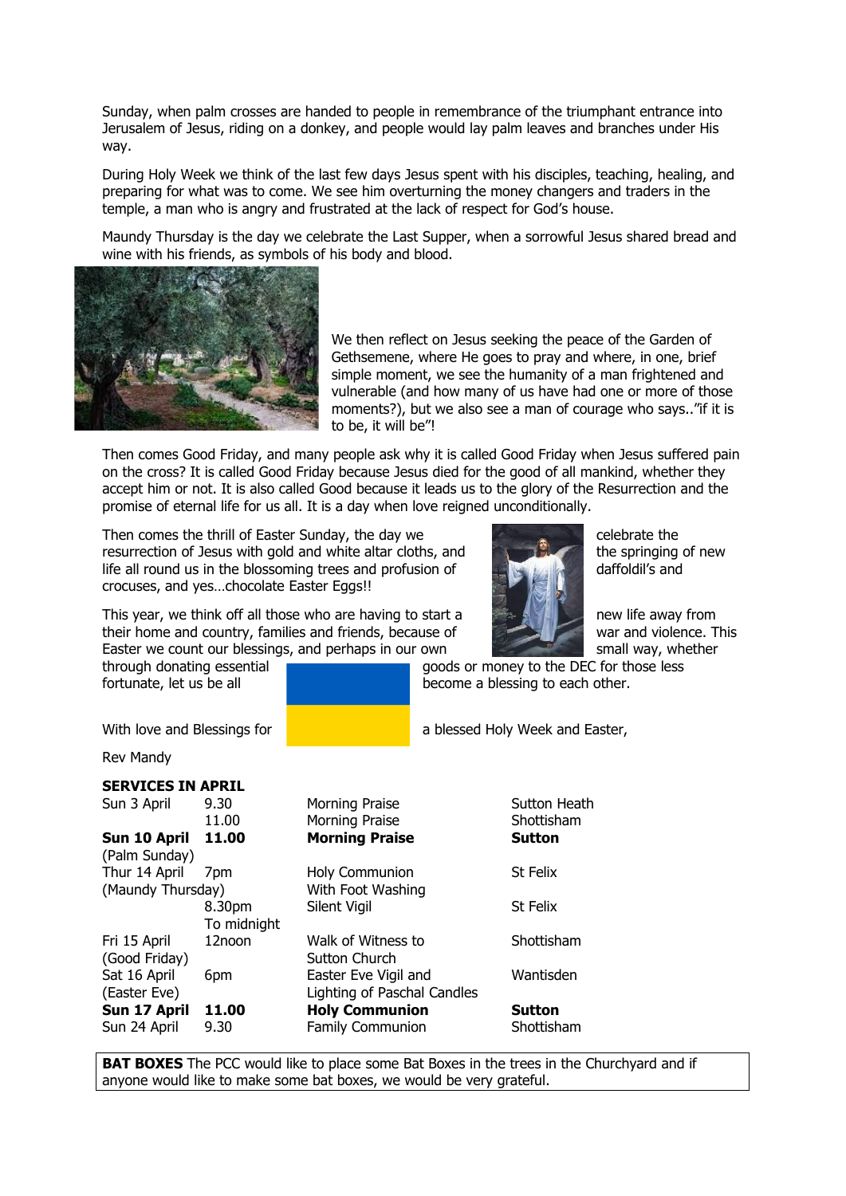Sunday, when palm crosses are handed to people in remembrance of the triumphant entrance into Jerusalem of Jesus, riding on a donkey, and people would lay palm leaves and branches under His way.

During Holy Week we think of the last few days Jesus spent with his disciples, teaching, healing, and preparing for what was to come. We see him overturning the money changers and traders in the temple, a man who is angry and frustrated at the lack of respect for God's house.

Maundy Thursday is the day we celebrate the Last Supper, when a sorrowful Jesus shared bread and wine with his friends, as symbols of his body and blood.



We then reflect on Jesus seeking the peace of the Garden of Gethsemene, where He goes to pray and where, in one, brief simple moment, we see the humanity of a man frightened and vulnerable (and how many of us have had one or more of those moments?), but we also see a man of courage who says.."if it is to be, it will be"!

Then comes Good Friday, and many people ask why it is called Good Friday when Jesus suffered pain on the cross? It is called Good Friday because Jesus died for the good of all mankind, whether they accept him or not. It is also called Good because it leads us to the glory of the Resurrection and the promise of eternal life for us all. It is a day when love reigned unconditionally.

Then comes the thrill of Easter Sunday, the day we celebrate the celebrate the resurrection of Jesus with gold and white altar cloths, and the springing of new life all round us in the blossoming trees and profusion of daffoldil's and life all round us in the blossoming trees and profusion of crocuses, and yes…chocolate Easter Eggs!!

This year, we think off all those who are having to start a new life away from their home and country, families and friends, because of war and violence. This Easter we count our blessings, and perhaps in our own small way, whether

through donating essential goods or money to the DEC for those less fortunate, let us be all **become a blessing to each other.** 

With love and Blessings for **a blessed Holy Week and Easter,** 

Rev Mandy

# **SERVICES IN APRIL**

| Sun 3 April       | 9.30        | M   |
|-------------------|-------------|-----|
|                   | 11.00       | M   |
| Sun 10 April      | 11.00       | м   |
| (Palm Sunday)     |             |     |
| Thur 14 April     | 7pm         | H٥  |
| (Maundy Thursday) | W           |     |
|                   | 8.30pm      | Sil |
|                   | To midnight |     |
| Fri 15 April      | 12noon      | W   |
| (Good Friday)     |             | SL  |
| Sat 16 April      | 6pm         | Ea  |
| (Easter Eve)      |             | Lig |
| Sun 17 April      | 11.00       | н   |
| Sun 24 April      | 9.30        | Fa  |
|                   |             |     |

orning Praise **Sutton Heath** orning Praise Shottisham **Sun 10 April 11.00 Morning Praise Sutton Thur 14 April 70 April 14 April 7pm Holy Communion** St Felix ith Foot Washing **8.300pm St Felix** Itton Church

alk of Witness to Shottisham aster Eve Vigil and Wantisden ahting of Paschal Candles **Sun 17 April 11.00 Holy Communion Sutton**

amily Communion Shottisham

**BAT BOXES** The PCC would like to place some Bat Boxes in the trees in the Churchyard and if anyone would like to make some bat boxes, we would be very grateful.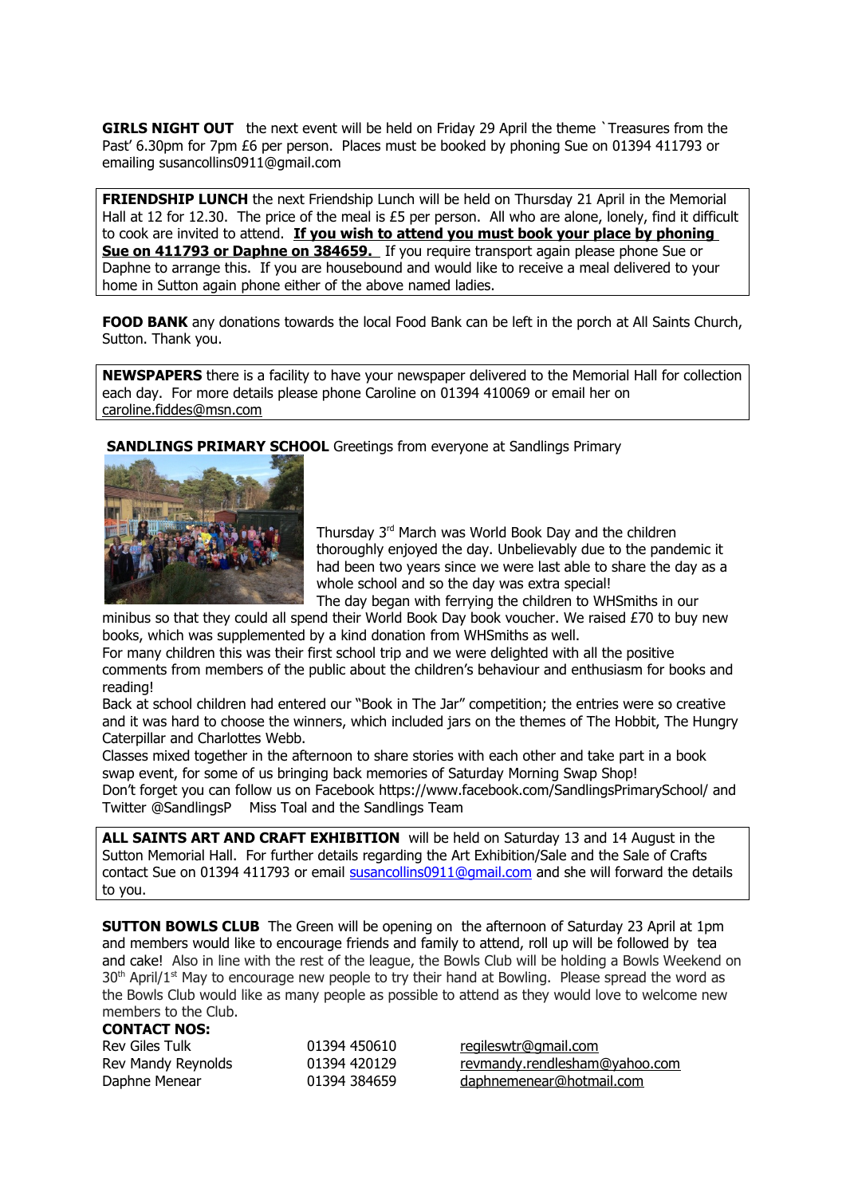**GIRLS NIGHT OUT** the next event will be held on Friday 29 April the theme `Treasures from the Past' 6.30pm for 7pm £6 per person. Places must be booked by phoning Sue on 01394 411793 or emailing susancollins0911@gmail.com

**FRIENDSHIP LUNCH** the next Friendship Lunch will be held on Thursday 21 April in the Memorial Hall at 12 for 12.30. The price of the meal is £5 per person. All who are alone, lonely, find it difficult to cook are invited to attend. **If you wish to attend you must book your place by phoning Sue on 411793 or Daphne on 384659.** If you require transport again please phone Sue or Daphne to arrange this. If you are housebound and would like to receive a meal delivered to your home in Sutton again phone either of the above named ladies.

**FOOD BANK** any donations towards the local Food Bank can be left in the porch at All Saints Church, Sutton. Thank you.

**NEWSPAPERS** there is a facility to have your newspaper delivered to the Memorial Hall for collection each day. For more details please phone Caroline on 01394 410069 or email her on [caroline.fiddes@msn.com](mailto:caroline.fiddes@msn.com)

**SANDLINGS PRIMARY SCHOOL** Greetings from everyone at Sandlings Primary



Thursday 3rd March was World Book Day and the children thoroughly enjoyed the day. Unbelievably due to the pandemic it had been two years since we were last able to share the day as a whole school and so the day was extra special! The day began with ferrying the children to WHSmiths in our

minibus so that they could all spend their World Book Day book voucher. We raised £70 to buy new books, which was supplemented by a kind donation from WHSmiths as well.

For many children this was their first school trip and we were delighted with all the positive comments from members of the public about the children's behaviour and enthusiasm for books and reading!

Back at school children had entered our "Book in The Jar" competition; the entries were so creative and it was hard to choose the winners, which included jars on the themes of The Hobbit, The Hungry Caterpillar and Charlottes Webb.

Classes mixed together in the afternoon to share stories with each other and take part in a book swap event, for some of us bringing back memories of Saturday Morning Swap Shop! Don't forget you can follow us on Facebook https://www.facebook.com/SandlingsPrimarySchool/ and Twitter @SandlingsP Miss Toal and the Sandlings Team

**ALL SAINTS ART AND CRAFT EXHIBITION** will be held on Saturday 13 and 14 August in the Sutton Memorial Hall. For further details regarding the Art Exhibition/Sale and the Sale of Crafts contact Sue on 01394 411793 or email [susancollins0911@gmail.com](mailto:susancollins0911@gmail.com) and she will forward the details to you.

**SUTTON BOWLS CLUB** The Green will be opening on the afternoon of Saturday 23 April at 1pm and members would like to encourage friends and family to attend, roll up will be followed by tea and cake! Also in line with the rest of the league, the Bowls Club will be holding a Bowls Weekend on  $30<sup>th</sup>$  April/1<sup>st</sup> May to encourage new people to try their hand at Bowling. Please spread the word as the Bowls Club would like as many people as possible to attend as they would love to welcome new members to the Club.

#### **CONTACT NOS:**

| Rev Giles Tulk     | 01394 450610 |
|--------------------|--------------|
| Rev Mandy Reynolds | 01394 420129 |
| Daphne Menear      | 01394 384659 |

[regileswtr@gmail.com](mailto:regileswtr@gmail.com) rev mandy rendlesham@yahoo.com daphne menear@hotmail.com